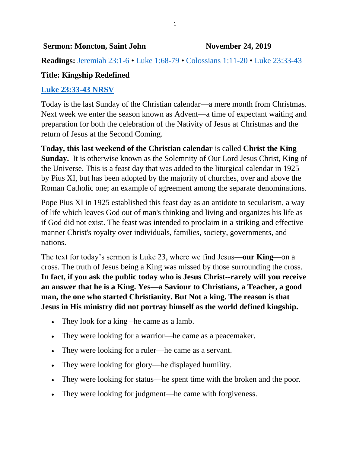**Readings:** [Jeremiah 23:1-6](https://biblia.com/bible/niv/Jer%2023.1-6) • [Luke 1:68-79](https://biblia.com/bible/niv/Luke%201.68-79) • [Colossians 1:11-20](https://biblia.com/bible/niv/Col%201.11-20) • [Luke 23:33-43](https://biblia.com/bible/niv/Luke%2023.33-43)

# **Title: Kingship Redefined**

## **[Luke 23:33-43 NRSV](https://biblia.com/bible/nrsv/Luke%2023.33-43)**

Today is the last Sunday of the Christian calendar—a mere month from Christmas. Next week we enter the season known as Advent—a time of expectant waiting and preparation for both the celebration of the Nativity of Jesus at Christmas and the return of Jesus at the Second Coming.

**Today, this last weekend of the Christian calendar** is called **Christ the King Sunday.** It is otherwise known as the Solemnity of Our Lord Jesus Christ, King of the Universe. This is a feast day that was added to the liturgical calendar in 1925 by Pius XI, but has been adopted by the majority of churches, over and above the Roman Catholic one; an example of agreement among the separate denominations.

Pope Pius XI in 1925 established this feast day as an antidote to secularism, a way of life which leaves God out of man's thinking and living and organizes his life as if God did not exist. The feast was intended to proclaim in a striking and effective manner Christ's royalty over individuals, families, society, governments, and nations.

The text for today's sermon is Luke 23, where we find Jesus—**our King**—on a cross. The truth of Jesus being a King was missed by those surrounding the cross. **In fact, if you ask the public today who is Jesus Christ--rarely will you receive an answer that he is a King. Yes—a Saviour to Christians, a Teacher, a good man, the one who started Christianity. But Not a king. The reason is that Jesus in His ministry did not portray himself as the world defined kingship.**

- They look for a king –he came as a lamb.
- They were looking for a warrior—he came as a peacemaker.
- They were looking for a ruler—he came as a servant.
- They were looking for glory—he displayed humility.
- They were looking for status—he spent time with the broken and the poor.
- They were looking for judgment—he came with forgiveness.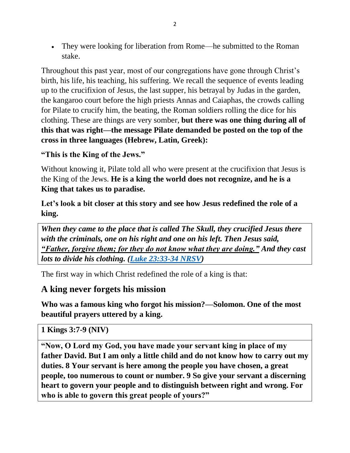• They were looking for liberation from Rome—he submitted to the Roman stake.

Throughout this past year, most of our congregations have gone through Christ's birth, his life, his teaching, his suffering. We recall the sequence of events leading up to the crucifixion of Jesus, the last supper, his betrayal by Judas in the garden, the kangaroo court before the high priests Annas and Caiaphas, the crowds calling for Pilate to crucify him, the beating, the Roman soldiers rolling the dice for his clothing. These are things are very somber, **but there was one thing during all of this that was right—the message Pilate demanded be posted on the top of the cross in three languages (Hebrew, Latin, Greek):** 

**"This is the King of the Jews."**

Without knowing it, Pilate told all who were present at the crucifixion that Jesus is the King of the Jews. **He is a king the world does not recognize, and he is a King that takes us to paradise.**

**Let's look a bit closer at this story and see how Jesus redefined the role of a king.**

*When they came to the place that is called The Skull, they crucified Jesus there with the criminals, one on his right and one on his left. Then Jesus said, "Father, forgive them; for they do not know what they are doing." And they cast lots to divide his clothing. [\(Luke 23:33-34 NRSV\)](https://biblia.com/bible/nrsv/Luke%2023.33-34)*

The first way in which Christ redefined the role of a king is that:

## **A king never forgets his mission**

**Who was a famous king who forgot his mission?—Solomon. One of the most beautiful prayers uttered by a king.**

## **1 Kings 3:7-9 (NIV)**

**"Now, O Lord my God, you have made your servant king in place of my father David. But I am only a little child and do not know how to carry out my duties. 8 Your servant is here among the people you have chosen, a great people, too numerous to count or number. 9 So give your servant a discerning heart to govern your people and to distinguish between right and wrong. For who is able to govern this great people of yours?"**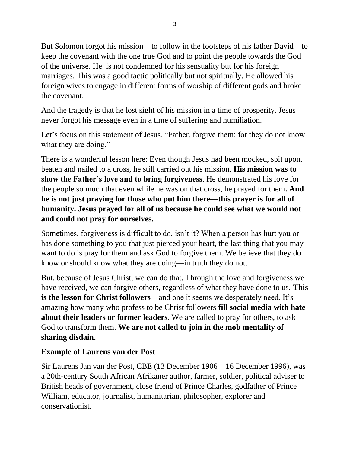But Solomon forgot his mission—to follow in the footsteps of his father David—to keep the covenant with the one true God and to point the people towards the God of the universe. He is not condemned for his sensuality but for his foreign marriages. This was a good tactic politically but not spiritually. He allowed his foreign wives to engage in different forms of worship of different gods and broke the covenant.

And the tragedy is that he lost sight of his mission in a time of prosperity. Jesus never forgot his message even in a time of suffering and humiliation.

Let's focus on this statement of Jesus, "Father, forgive them; for they do not know what they are doing."

There is a wonderful lesson here: Even though Jesus had been mocked, spit upon, beaten and nailed to a cross, he still carried out his mission. **His mission was to show the Father's love and to bring forgiveness**. He demonstrated his love for the people so much that even while he was on that cross, he prayed for them**. And he is not just praying for those who put him there—this prayer is for all of humanity. Jesus prayed for all of us because he could see what we would not and could not pray for ourselves.**

Sometimes, forgiveness is difficult to do, isn't it? When a person has hurt you or has done something to you that just pierced your heart, the last thing that you may want to do is pray for them and ask God to forgive them. We believe that they do know or should know what they are doing—in truth they do not.

But, because of Jesus Christ, we can do that. Through the love and forgiveness we have received, we can forgive others, regardless of what they have done to us. **This is the lesson for Christ followers**—and one it seems we desperately need. It's amazing how many who profess to be Christ followers **fill social media with hate about their leaders or former leaders.** We are called to pray for others, to ask God to transform them. **We are not called to join in the mob mentality of sharing disdain.**

### **Example of Laurens van der Post**

Sir Laurens Jan van der Post, CBE (13 December 1906 – 16 December 1996), was a 20th-century South African Afrikaner author, farmer, soldier, political adviser to British heads of government, close friend of Prince Charles, godfather of Prince William, educator, journalist, humanitarian, philosopher, explorer and conservationist.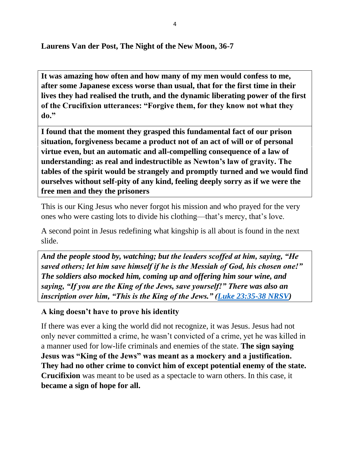**Laurens Van der Post, The Night of the New Moon, 36-7**

**It was amazing how often and how many of my men would confess to me, after some Japanese excess worse than usual, that for the first time in their lives they had realised the truth, and the dynamic liberating power of the first of the Crucifixion utterances: "Forgive them, for they know not what they do."**

**I found that the moment they grasped this fundamental fact of our prison situation, forgiveness became a product not of an act of will or of personal virtue even, but an automatic and all-compelling consequence of a law of understanding: as real and indestructible as Newton's law of gravity. The tables of the spirit would be strangely and promptly turned and we would find ourselves without self-pity of any kind, feeling deeply sorry as if we were the free men and they the prisoners**

This is our King Jesus who never forgot his mission and who prayed for the very ones who were casting lots to divide his clothing—that's mercy, that's love.

A second point in Jesus redefining what kingship is all about is found in the next slide.

*And the people stood by, watching; but the leaders scoffed at him, saying, "He saved others; let him save himself if he is the Messiah of God, his chosen one!" The soldiers also mocked him, coming up and offering him sour wine, and saying, "If you are the King of the Jews, save yourself!" There was also an inscription over him, "This is the King of the Jews." [\(Luke 23:35-38 NRSV\)](https://biblia.com/bible/nrsv/Luke%2023.35-38)*

### **A king doesn't have to prove his identity**

If there was ever a king the world did not recognize, it was Jesus. Jesus had not only never committed a crime, he wasn't convicted of a crime, yet he was killed in a manner used for low-life criminals and enemies of the state. **The sign saying Jesus was "King of the Jews" was meant as a mockery and a justification. They had no other crime to convict him of except potential enemy of the state. Crucifixion** was meant to be used as a spectacle to warn others. In this case, it **became a sign of hope for all.**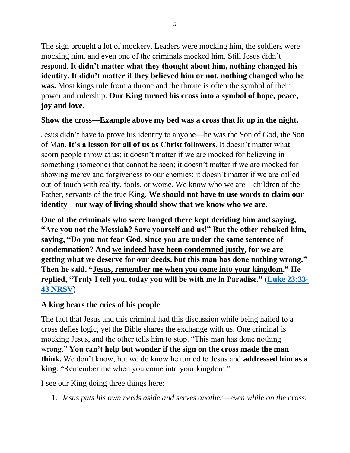The sign brought a lot of mockery. Leaders were mocking him, the soldiers were mocking him, and even one of the criminals mocked him. Still Jesus didn't respond. **It didn't matter what they thought about him, nothing changed his identity. It didn't matter if they believed him or not, nothing changed who he was.** Most kings rule from a throne and the throne is often the symbol of their power and rulership. **Our King turned his cross into a symbol of hope, peace, joy and love.**

#### **Show the cross—Example above my bed was a cross that lit up in the night.**

Jesus didn't have to prove his identity to anyone—he was the Son of God, the Son of Man. **It's a lesson for all of us as Christ followers**. It doesn't matter what scorn people throw at us; it doesn't matter if we are mocked for believing in something (someone) that cannot be seen; it doesn't matter if we are mocked for showing mercy and forgiveness to our enemies; it doesn't matter if we are called out-of-touch with reality, fools, or worse. We know who we are—children of the Father, servants of the true King. **We should not have to use words to claim our identity—our way of living should show that we know who we are.**

**One of the criminals who were hanged there kept deriding him and saying, "Are you not the Messiah? Save yourself and us!" But the other rebuked him, saying, "Do you not fear God, since you are under the same sentence of condemnation? And we indeed have been condemned justly, for we are getting what we deserve for our deeds, but this man has done nothing wrong." Then he said, "Jesus, remember me when you come into your kingdom." He replied, "Truly I tell you, today you will be with me in Paradise." [\(Luke 23:33-](https://biblia.com/bible/nrsv/Luke%2023.33-43) [43 NRSV](https://biblia.com/bible/nrsv/Luke%2023.33-43)**)

### **A king hears the cries of his people**

The fact that Jesus and this criminal had this discussion while being nailed to a cross defies logic, yet the Bible shares the exchange with us. One criminal is mocking Jesus, and the other tells him to stop. "This man has done nothing wrong." **You can't help but wonder if the sign on the cross made the man think.** We don't know, but we do know he turned to Jesus and **addressed him as a king**. "Remember me when you come into your kingdom."

I see our King doing three things here:

1. *Jesus puts his own needs aside and serves another—even while on the cross.*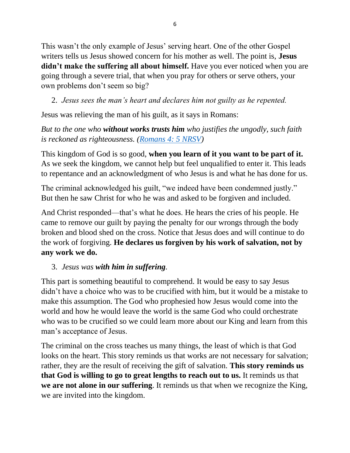This wasn't the only example of Jesus' serving heart. One of the other Gospel writers tells us Jesus showed concern for his mother as well. The point is, **Jesus didn't make the suffering all about himself.** Have you ever noticed when you are going through a severe trial, that when you pray for others or serve others, your own problems don't seem so big?

2. *Jesus sees the man's heart and declares him not guilty as he repented.*

Jesus was relieving the man of his guilt, as it says in Romans:

# *But to the one who without works trusts him who justifies the ungodly, such faith is reckoned as righteousness. [\(Romans 4: 5 NRSV\)](https://biblia.com/bible/nrsv/Rom%204.%205)*

This kingdom of God is so good, **when you learn of it you want to be part of it.** As we seek the kingdom, we cannot help but feel unqualified to enter it. This leads to repentance and an acknowledgment of who Jesus is and what he has done for us.

The criminal acknowledged his guilt, "we indeed have been condemned justly." But then he saw Christ for who he was and asked to be forgiven and included.

And Christ responded—that's what he does. He hears the cries of his people. He came to remove our guilt by paying the penalty for our wrongs through the body broken and blood shed on the cross. Notice that Jesus does and will continue to do the work of forgiving. **He declares us forgiven by his work of salvation, not by any work we do.**

# 3. *Jesus was with him in suffering.*

This part is something beautiful to comprehend. It would be easy to say Jesus didn't have a choice who was to be crucified with him, but it would be a mistake to make this assumption. The God who prophesied how Jesus would come into the world and how he would leave the world is the same God who could orchestrate who was to be crucified so we could learn more about our King and learn from this man's acceptance of Jesus.

The criminal on the cross teaches us many things, the least of which is that God looks on the heart. This story reminds us that works are not necessary for salvation; rather, they are the result of receiving the gift of salvation. **This story reminds us that God is willing to go to great lengths to reach out to us.** It reminds us that **we are not alone in our suffering**. It reminds us that when we recognize the King, we are invited into the kingdom.